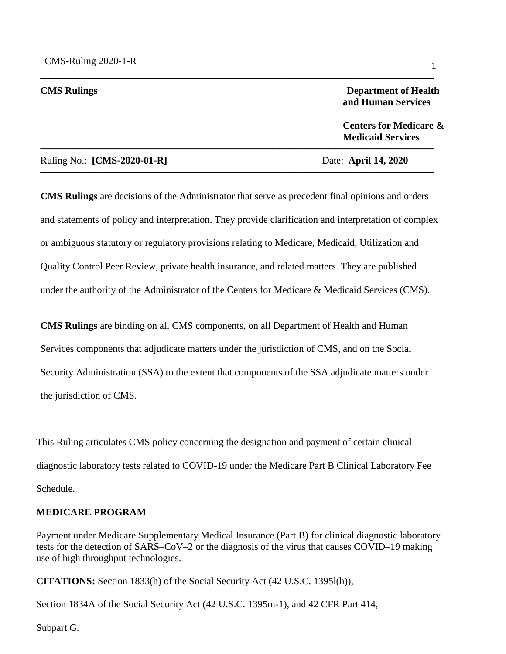#### **CMS Rulings** Department of Health **and Human Services**

 **Centers for Medicare & Medicaid Services** 

#### Ruling No.: **[CMS-2020-01-R]** Date: **April 14, 2020**

**CMS Rulings** are decisions of the Administrator that serve as precedent final opinions and orders and statements of policy and interpretation. They provide clarification and interpretation of complex or ambiguous statutory or regulatory provisions relating to Medicare, Medicaid, Utilization and Quality Control Peer Review, private health insurance, and related matters. They are published under the authority of the Administrator of the Centers for Medicare & Medicaid Services (CMS).

────────────────────────────────────────────────────────

────────────────────────────────────────────────────────

────────────────────────────────────────────────────────

**CMS Rulings** are binding on all CMS components, on all Department of Health and Human Services components that adjudicate matters under the jurisdiction of CMS, and on the Social Security Administration (SSA) to the extent that components of the SSA adjudicate matters under the jurisdiction of CMS.

 diagnostic laboratory tests related to COVID-19 under the Medicare Part B Clinical Laboratory Fee This Ruling articulates CMS policy concerning the designation and payment of certain clinical Schedule.

#### **MEDICARE PROGRAM**

Payment under Medicare Supplementary Medical Insurance (Part B) for clinical diagnostic laboratory tests for the detection of SARS–CoV–2 or the diagnosis of the virus that causes COVID–19 making use of high throughput technologies.

**CITATIONS:** Section 1833(h) of the Social Security Act (42 U.S.C. 1395l(h)),

Section 1834A of the Social Security Act (42 U.S.C. 1395m-1), and 42 CFR Part 414,

Subpart G.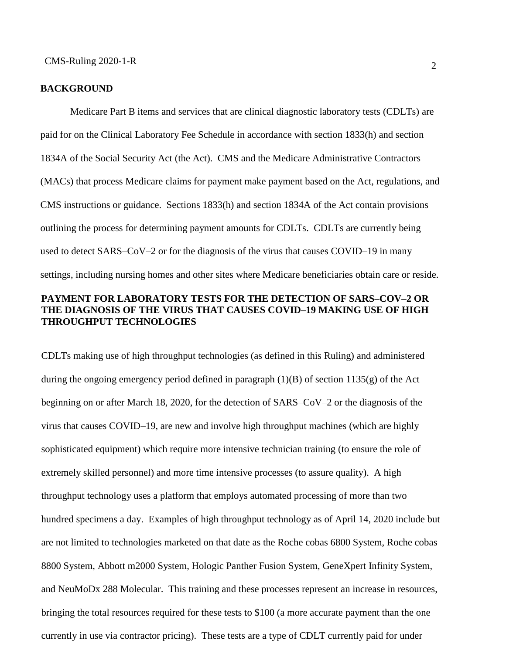#### **BACKGROUND**

 outlining the process for determining payment amounts for CDLTs. CDLTs are currently being Medicare Part B items and services that are clinical diagnostic laboratory tests (CDLTs) are paid for on the Clinical Laboratory Fee Schedule in accordance with section 1833(h) and section 1834A of the Social Security Act (the Act). CMS and the Medicare Administrative Contractors (MACs) that process Medicare claims for payment make payment based on the Act, regulations, and CMS instructions or guidance. Sections 1833(h) and section 1834A of the Act contain provisions used to detect SARS–CoV–2 or for the diagnosis of the virus that causes COVID–19 in many settings, including nursing homes and other sites where Medicare beneficiaries obtain care or reside. **PAYMENT FOR LABORATORY TESTS FOR THE DETECTION OF SARS–COV–2 OR** 

# **THE DIAGNOSIS OF THE VIRUS THAT CAUSES COVID–19 MAKING USE OF HIGH THROUGHPUT TECHNOLOGIES**

 extremely skilled personnel) and more time intensive processes (to assure quality). A high CDLTs making use of high throughput technologies (as defined in this Ruling) and administered during the ongoing emergency period defined in paragraph (1)(B) of section 1135(g) of the Act beginning on or after March 18, 2020, for the detection of SARS–CoV–2 or the diagnosis of the virus that causes COVID–19, are new and involve high throughput machines (which are highly sophisticated equipment) which require more intensive technician training (to ensure the role of throughput technology uses a platform that employs automated processing of more than two hundred specimens a day. Examples of high throughput technology as of April 14, 2020 include but are not limited to technologies marketed on that date as the Roche cobas 6800 System, Roche cobas 8800 System, Abbott m2000 System, Hologic Panther Fusion System, GeneXpert Infinity System, and NeuMoDx 288 Molecular. This training and these processes represent an increase in resources, bringing the total resources required for these tests to \$100 (a more accurate payment than the one currently in use via contractor pricing). These tests are a type of CDLT currently paid for under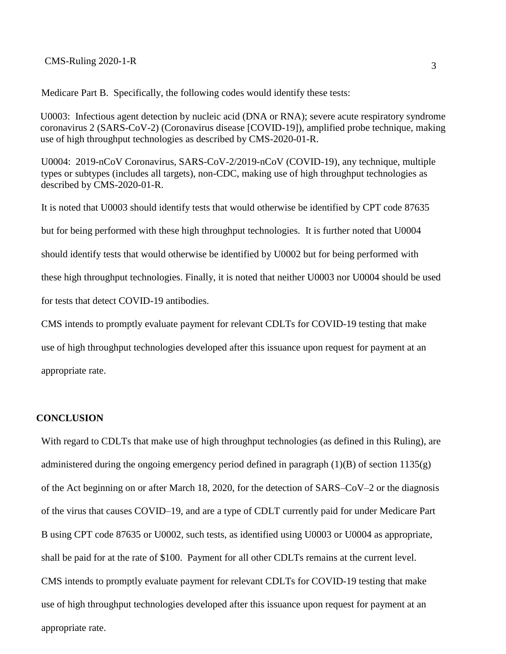## 3 CMS-Ruling 2020-1-R

Medicare Part B. Specifically, the following codes would identify these tests:

U0003: Infectious agent detection by nucleic acid (DNA or RNA); severe acute respiratory syndrome coronavirus 2 (SARS-CoV-2) (Coronavirus disease [COVID-19]), amplified probe technique, making use of high throughput technologies as described by CMS-2020-01-R.

U0004: 2019-nCoV Coronavirus, SARS-CoV-2/2019-nCoV (COVID-19), any technique, multiple types or subtypes (includes all targets), non-CDC, making use of high throughput technologies as described by CMS-2020-01-R.

It is noted that U0003 should identify tests that would otherwise be identified by CPT code 87635 but for being performed with these high throughput technologies. It is further noted that U0004 should identify tests that would otherwise be identified by U0002 but for being performed with these high throughput technologies. Finally, it is noted that neither U0003 nor U0004 should be used for tests that detect COVID-19 antibodies.

CMS intends to promptly evaluate payment for relevant CDLTs for COVID-19 testing that make use of high throughput technologies developed after this issuance upon request for payment at an appropriate rate.

### **CONCLUSION**

 of the virus that causes COVID–19, and are a type of CDLT currently paid for under Medicare Part shall be paid for at the rate of \$100. Payment for all other CDLTs remains at the current level. With regard to CDLTs that make use of high throughput technologies (as defined in this Ruling), are administered during the ongoing emergency period defined in paragraph (1)(B) of section 1135(g) of the Act beginning on or after March 18, 2020, for the detection of SARS–CoV–2 or the diagnosis B using CPT code 87635 or U0002, such tests, as identified using U0003 or U0004 as appropriate, CMS intends to promptly evaluate payment for relevant CDLTs for COVID-19 testing that make use of high throughput technologies developed after this issuance upon request for payment at an appropriate rate.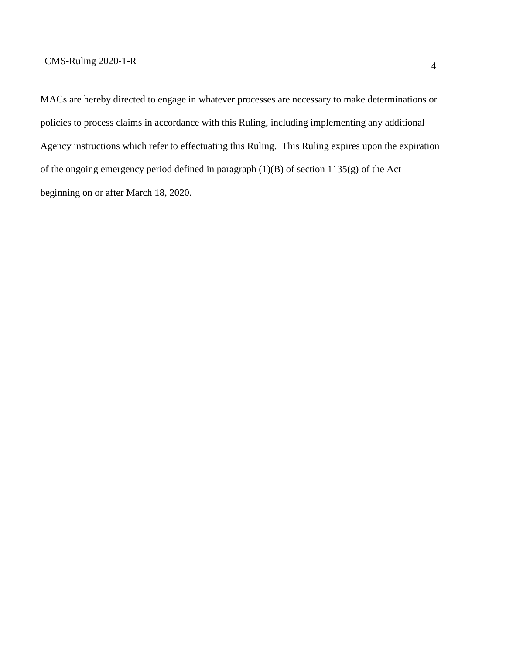Agency instructions which refer to effectuating this Ruling. This Ruling expires upon the expiration of the ongoing emergency period defined in paragraph (1)(B) of section 1135(g) of the Act MACs are hereby directed to engage in whatever processes are necessary to make determinations or policies to process claims in accordance with this Ruling, including implementing any additional beginning on or after March 18, 2020.